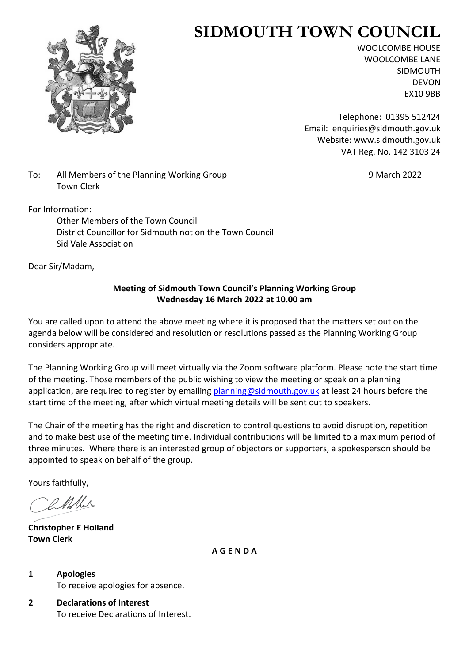

# **SIDMOUTH TOWN COUNCIL**

WOOLCOMBE HOUSE WOOLCOMBE LANE SIDMOUTH DEVON EX10 9BB

Telephone: 01395 512424 Email: [enquiries@sidmouth.gov.uk](mailto:enquiries@sidmouth.gov.uk) Website: www.sidmouth.gov.uk VAT Reg. No. 142 3103 24

To: All Members of the Planning Working Group 19 Manual 2022 Town Clerk

For Information:

Other Members of the Town Council District Councillor for Sidmouth not on the Town Council Sid Vale Association

Dear Sir/Madam,

# **Meeting of Sidmouth Town Council's Planning Working Group Wednesday 16 March 2022 at 10.00 am**

You are called upon to attend the above meeting where it is proposed that the matters set out on the agenda below will be considered and resolution or resolutions passed as the Planning Working Group considers appropriate.

The Planning Working Group will meet virtually via the Zoom software platform. Please note the start time of the meeting. Those members of the public wishing to view the meeting or speak on a planning application, are required to register by emailing [planning@sidmouth.gov.uk](mailto:planning@sidmouth.gov.uk) at least 24 hours before the start time of the meeting, after which virtual meeting details will be sent out to speakers.

The Chair of the meeting has the right and discretion to control questions to avoid disruption, repetition and to make best use of the meeting time. Individual contributions will be limited to a maximum period of three minutes. Where there is an interested group of objectors or supporters, a spokesperson should be appointed to speak on behalf of the group.

Yours faithfully,

O MML

**Christopher E Holland Town Clerk**

**A G E N D A**

- **1 Apologies** To receive apologies for absence.
- **2 Declarations of Interest** To receive Declarations of Interest.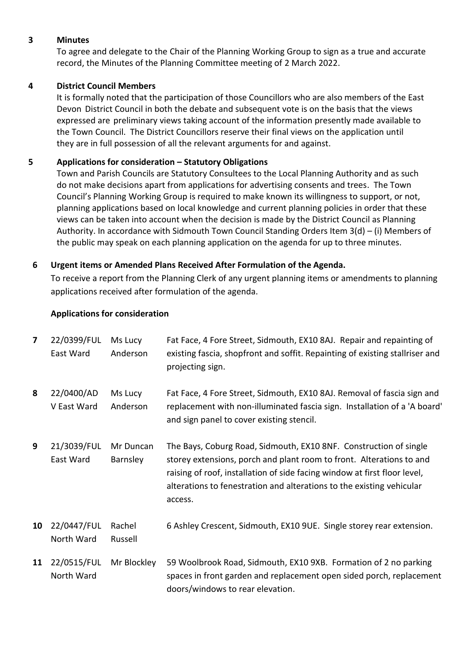## **3 Minutes**

To agree and delegate to the Chair of the Planning Working Group to sign as a true and accurate record, the Minutes of the Planning Committee meeting of 2 March 2022.

# **4 District Council Members**

It is formally noted that the participation of those Councillors who are also members of the East Devon District Council in both the debate and subsequent vote is on the basis that the views expressed are preliminary views taking account of the information presently made available to the Town Council. The District Councillors reserve their final views on the application until they are in full possession of all the relevant arguments for and against.

# **5 Applications for consideration – Statutory Obligations**

Town and Parish Councils are Statutory Consultees to the Local Planning Authority and as such do not make decisions apart from applications for advertising consents and trees. The Town Council's Planning Working Group is required to make known its willingness to support, or not, planning applications based on local knowledge and current planning policies in order that these views can be taken into account when the decision is made by the District Council as Planning Authority. In accordance with Sidmouth Town Council Standing Orders Item 3(d) – (i) Members of the public may speak on each planning application on the agenda for up to three minutes.

# **6 Urgent items or Amended Plans Received After Formulation of the Agenda.**

To receive a report from the Planning Clerk of any urgent planning items or amendments to planning applications received after formulation of the agenda.

## **Applications for consideration**

| $\overline{\mathbf{z}}$ | 22/0399/FUL<br>East Ward  | Ms Lucy<br>Anderson   | Fat Face, 4 Fore Street, Sidmouth, EX10 8AJ. Repair and repainting of<br>existing fascia, shopfront and soffit. Repainting of existing stallriser and<br>projecting sign.                                                                                                                                  |
|-------------------------|---------------------------|-----------------------|------------------------------------------------------------------------------------------------------------------------------------------------------------------------------------------------------------------------------------------------------------------------------------------------------------|
| 8                       | 22/0400/AD<br>V East Ward | Ms Lucy<br>Anderson   | Fat Face, 4 Fore Street, Sidmouth, EX10 8AJ. Removal of fascia sign and<br>replacement with non-illuminated fascia sign. Installation of a 'A board'<br>and sign panel to cover existing stencil.                                                                                                          |
| 9                       | 21/3039/FUL<br>East Ward  | Mr Duncan<br>Barnsley | The Bays, Coburg Road, Sidmouth, EX10 8NF. Construction of single<br>storey extensions, porch and plant room to front. Alterations to and<br>raising of roof, installation of side facing window at first floor level,<br>alterations to fenestration and alterations to the existing vehicular<br>access. |
| 10                      | 22/0447/FUL<br>North Ward | Rachel<br>Russell     | 6 Ashley Crescent, Sidmouth, EX10 9UE. Single storey rear extension.                                                                                                                                                                                                                                       |
| 11                      | 22/0515/FUL<br>North Ward | Mr Blockley           | 59 Woolbrook Road, Sidmouth, EX10 9XB. Formation of 2 no parking<br>spaces in front garden and replacement open sided porch, replacement<br>doors/windows to rear elevation.                                                                                                                               |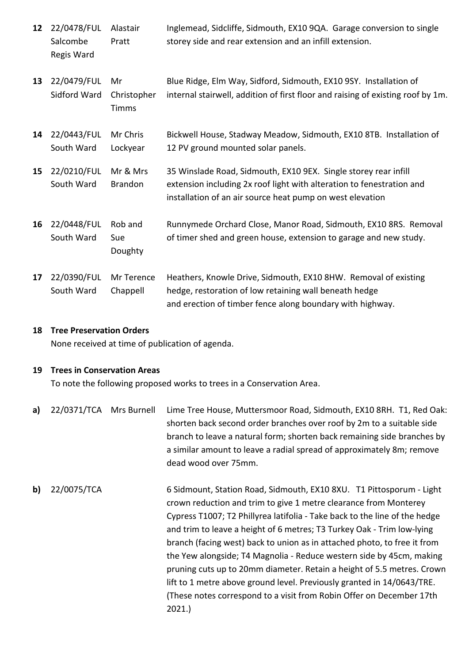- **12** 22/0478/FUL Alastair Salcombe Regis Ward Pratt Inglemead, Sidcliffe, Sidmouth, EX10 9QA. Garage conversion to single storey side and rear extension and an infill extension. **13** 22/0479/FUL Mr Sidford Ward Christopher Timms Blue Ridge, Elm Way, Sidford, Sidmouth, EX10 9SY. Installation of internal stairwell, addition of first floor and raising of existing roof by 1m.
- **14** 22/0443/FUL Mr Chris South Ward Lockyear Bickwell House, Stadway Meadow, Sidmouth, EX10 8TB. Installation of 12 PV ground mounted solar panels.
- **15** 22/0210/FUL Mr & Mrs South Ward Brandon 35 Winslade Road, Sidmouth, EX10 9EX. Single storey rear infill extension including 2x roof light with alteration to fenestration and installation of an air source heat pump on west elevation
- **16** 22/0448/FUL Rob and South Ward Sue Doughty Runnymede Orchard Close, Manor Road, Sidmouth, EX10 8RS. Removal of timer shed and green house, extension to garage and new study.
- **17** 22/0390/FUL Mr Terence South Ward Chappell Heathers, Knowle Drive, Sidmouth, EX10 8HW. Removal of existing hedge, restoration of low retaining wall beneath hedge and erection of timber fence along boundary with highway.

#### **18 Tree Preservation Orders**

None received at time of publication of agenda.

#### **19 Trees in Conservation Areas**

To note the following proposed works to trees in a Conservation Area.

- **a)** 22/0371/TCA Mrs Burnell Lime Tree House, Muttersmoor Road, Sidmouth, EX10 8RH. T1, Red Oak: shorten back second order branches over roof by 2m to a suitable side branch to leave a natural form; shorten back remaining side branches by a similar amount to leave a radial spread of approximately 8m; remove dead wood over 75mm.
- **b)** 22/0075/TCA 6 Sidmount, Station Road, Sidmouth, EX10 8XU. T1 Pittosporum Light crown reduction and trim to give 1 metre clearance from Monterey Cypress T1007; T2 Phillyrea latifolia - Take back to the line of the hedge and trim to leave a height of 6 metres; T3 Turkey Oak - Trim low-lying branch (facing west) back to union as in attached photo, to free it from the Yew alongside; T4 Magnolia - Reduce western side by 45cm, making pruning cuts up to 20mm diameter. Retain a height of 5.5 metres. Crown lift to 1 metre above ground level. Previously granted in 14/0643/TRE. (These notes correspond to a visit from Robin Offer on December 17th 2021.)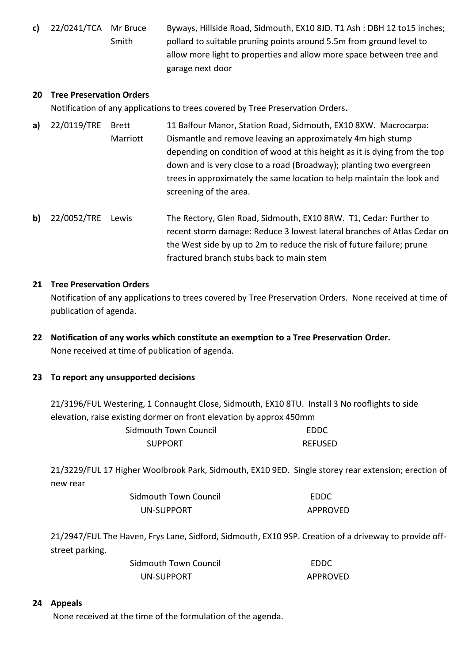**c)** 22/0241/TCA Mr Bruce Smith Byways, Hillside Road, Sidmouth, EX10 8JD. T1 Ash : DBH 12 to15 inches; pollard to suitable pruning points around 5.5m from ground level to allow more light to properties and allow more space between tree and garage next door

## **20 Tree Preservation Orders**

Notification of any applications to trees covered by Tree Preservation Orders**.**

| Brett    | 11 Balfour Manor, Station Road, Sidmouth, EX10 8XW. Macrocarpa:           |
|----------|---------------------------------------------------------------------------|
| Marriott | Dismantle and remove leaving an approximately 4m high stump               |
|          | depending on condition of wood at this height as it is dying from the top |
|          | down and is very close to a road (Broadway); planting two evergreen       |
|          | trees in approximately the same location to help maintain the look and    |
|          | screening of the area.                                                    |
|          | a) $22/0119/TRE$                                                          |

**b)** 22/0052/TRE Lewis The Rectory, Glen Road, Sidmouth, EX10 8RW. T1, Cedar: Further to recent storm damage: Reduce 3 lowest lateral branches of Atlas Cedar on the West side by up to 2m to reduce the risk of future failure; prune fractured branch stubs back to main stem

## **21 Tree Preservation Orders**

Notification of any applications to trees covered by Tree Preservation Orders. None received at time of publication of agenda.

**22 Notification of any works which constitute an exemption to a Tree Preservation Order.** None received at time of publication of agenda.

## **23 To report any unsupported decisions**

21/3196/FUL Westering, 1 Connaught Close, Sidmouth, EX10 8TU. Install 3 No rooflights to side elevation, raise existing dormer on front elevation by approx 450mm Sidmouth Town Council **EDDC** 

SUPPORT REFUSED

21/3229/FUL 17 Higher Woolbrook Park, Sidmouth, EX10 9ED. Single storey rear extension; erection of new rear

> Sidmouth Town Council **EDDC** UN-SUPPORT APPROVED

21/2947/FUL The Haven, Frys Lane, Sidford, Sidmouth, EX10 9SP. Creation of a driveway to provide offstreet parking.

| Sidmouth Town Council | EDDC     |
|-----------------------|----------|
| UN-SUPPORT            | APPROVED |

#### **24 Appeals**

None received at the time of the formulation of the agenda.